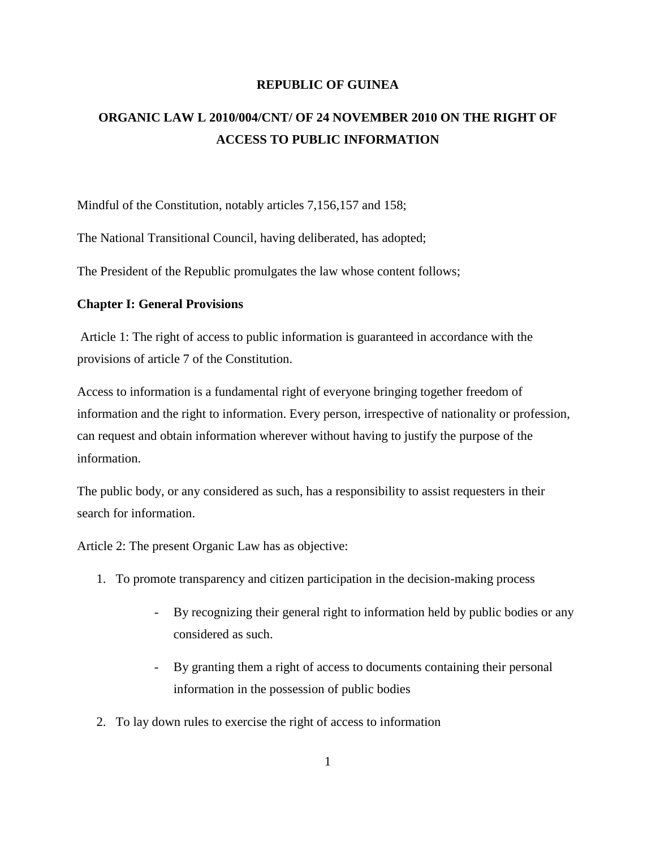### **REPUBLIC OF GUINEA**

# **ORGANIC LAW L 2010/004/CNT/ OF 24 NOVEMBER 2010 ON THE RIGHT OF ACCESS TO PUBLIC INFORMATION**

Mindful of the Constitution, notably articles 7,156,157 and 158;

The National Transitional Council, having deliberated, has adopted;

The President of the Republic promulgates the law whose content follows;

#### **Chapter I: General Provisions**

Article 1: The right of access to public information is guaranteed in accordance with the provisions of article 7 of the Constitution.

Access to information is a fundamental right of everyone bringing together freedom of information and the right to information. Every person, irrespective of nationality or profession, can request and obtain information wherever without having to justify the purpose of the information.

The public body, or any considered as such, has a responsibility to assist requesters in their search for information.

Article 2: The present Organic Law has as objective:

- 1. To promote transparency and citizen participation in the decision-making process
	- By recognizing their general right to information held by public bodies or any considered as such.
	- By granting them a right of access to documents containing their personal information in the possession of public bodies
- 2. To lay down rules to exercise the right of access to information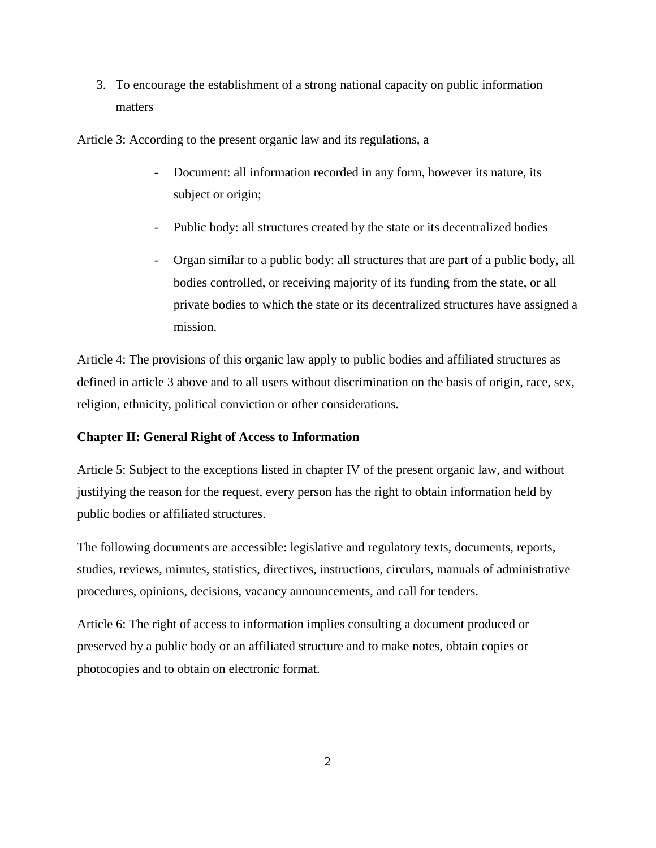3. To encourage the establishment of a strong national capacity on public information matters

Article 3: According to the present organic law and its regulations, a

- Document: all information recorded in any form, however its nature, its subject or origin;
- Public body: all structures created by the state or its decentralized bodies
- Organ similar to a public body: all structures that are part of a public body, all bodies controlled, or receiving majority of its funding from the state, or all private bodies to which the state or its decentralized structures have assigned a mission.

Article 4: The provisions of this organic law apply to public bodies and affiliated structures as defined in article 3 above and to all users without discrimination on the basis of origin, race, sex, religion, ethnicity, political conviction or other considerations.

#### **Chapter II: General Right of Access to Information**

Article 5: Subject to the exceptions listed in chapter IV of the present organic law, and without justifying the reason for the request, every person has the right to obtain information held by public bodies or affiliated structures.

The following documents are accessible: legislative and regulatory texts, documents, reports, studies, reviews, minutes, statistics, directives, instructions, circulars, manuals of administrative procedures, opinions, decisions, vacancy announcements, and call for tenders.

Article 6: The right of access to information implies consulting a document produced or preserved by a public body or an affiliated structure and to make notes, obtain copies or photocopies and to obtain on electronic format.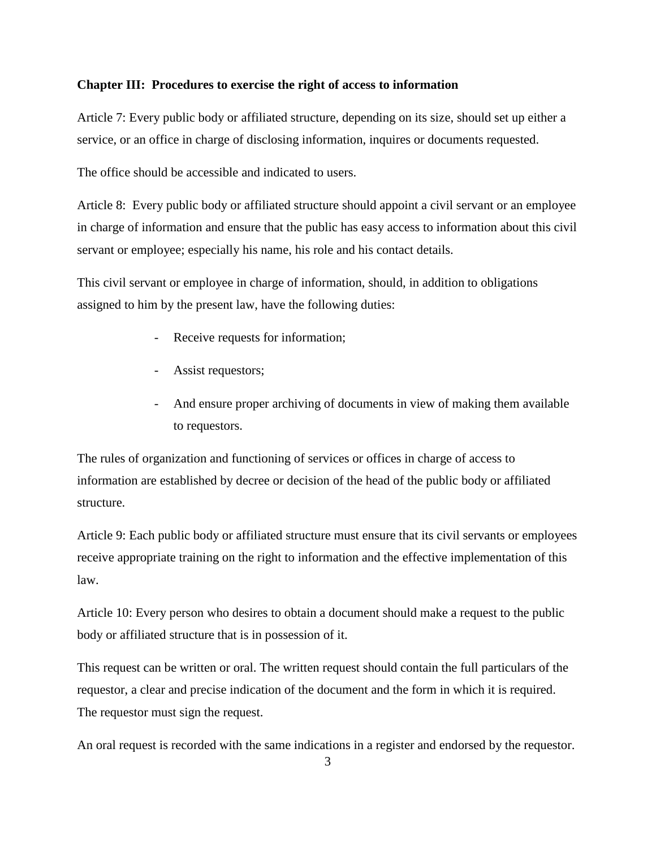### **Chapter III: Procedures to exercise the right of access to information**

Article 7: Every public body or affiliated structure, depending on its size, should set up either a service, or an office in charge of disclosing information, inquires or documents requested.

The office should be accessible and indicated to users.

Article 8: Every public body or affiliated structure should appoint a civil servant or an employee in charge of information and ensure that the public has easy access to information about this civil servant or employee; especially his name, his role and his contact details.

This civil servant or employee in charge of information, should, in addition to obligations assigned to him by the present law, have the following duties:

- Receive requests for information;
- Assist requestors;
- And ensure proper archiving of documents in view of making them available to requestors.

The rules of organization and functioning of services or offices in charge of access to information are established by decree or decision of the head of the public body or affiliated structure.

Article 9: Each public body or affiliated structure must ensure that its civil servants or employees receive appropriate training on the right to information and the effective implementation of this law.

Article 10: Every person who desires to obtain a document should make a request to the public body or affiliated structure that is in possession of it.

This request can be written or oral. The written request should contain the full particulars of the requestor, a clear and precise indication of the document and the form in which it is required. The requestor must sign the request.

An oral request is recorded with the same indications in a register and endorsed by the requestor.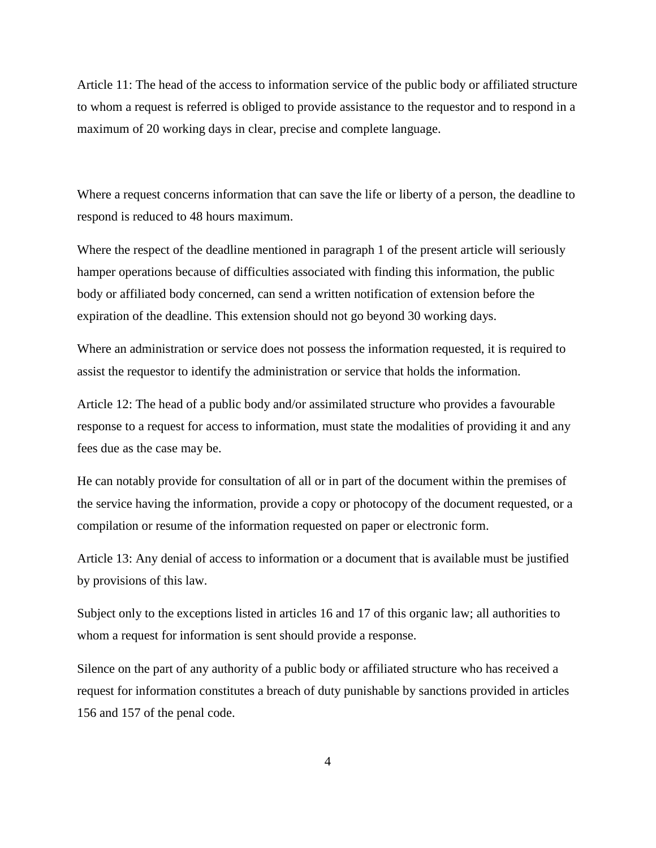Article 11: The head of the access to information service of the public body or affiliated structure to whom a request is referred is obliged to provide assistance to the requestor and to respond in a maximum of 20 working days in clear, precise and complete language.

Where a request concerns information that can save the life or liberty of a person, the deadline to respond is reduced to 48 hours maximum.

Where the respect of the deadline mentioned in paragraph 1 of the present article will seriously hamper operations because of difficulties associated with finding this information, the public body or affiliated body concerned, can send a written notification of extension before the expiration of the deadline. This extension should not go beyond 30 working days.

Where an administration or service does not possess the information requested, it is required to assist the requestor to identify the administration or service that holds the information.

Article 12: The head of a public body and/or assimilated structure who provides a favourable response to a request for access to information, must state the modalities of providing it and any fees due as the case may be.

He can notably provide for consultation of all or in part of the document within the premises of the service having the information, provide a copy or photocopy of the document requested, or a compilation or resume of the information requested on paper or electronic form.

Article 13: Any denial of access to information or a document that is available must be justified by provisions of this law.

Subject only to the exceptions listed in articles 16 and 17 of this organic law; all authorities to whom a request for information is sent should provide a response.

Silence on the part of any authority of a public body or affiliated structure who has received a request for information constitutes a breach of duty punishable by sanctions provided in articles 156 and 157 of the penal code.

4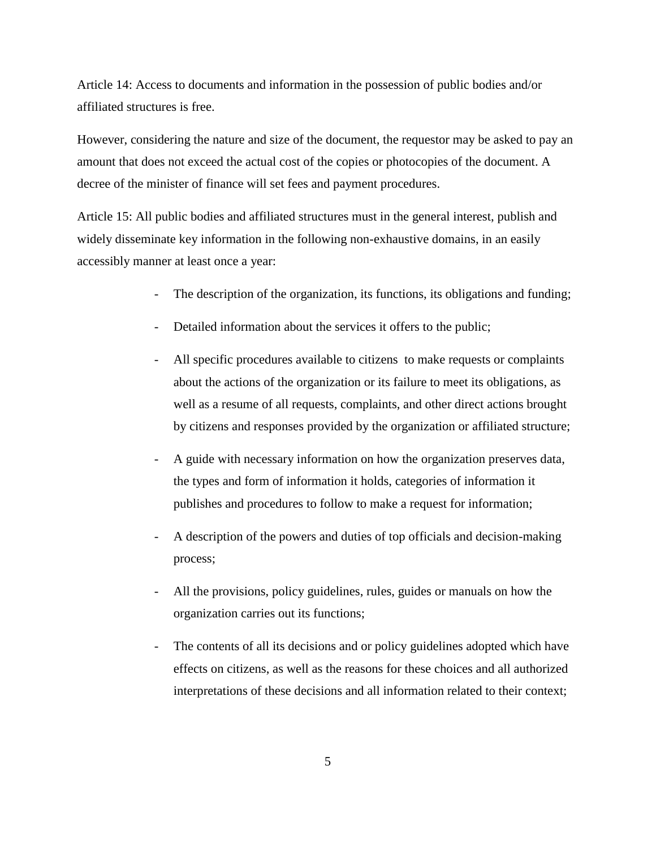Article 14: Access to documents and information in the possession of public bodies and/or affiliated structures is free.

However, considering the nature and size of the document, the requestor may be asked to pay an amount that does not exceed the actual cost of the copies or photocopies of the document. A decree of the minister of finance will set fees and payment procedures.

Article 15: All public bodies and affiliated structures must in the general interest, publish and widely disseminate key information in the following non-exhaustive domains, in an easily accessibly manner at least once a year:

- The description of the organization, its functions, its obligations and funding;
- Detailed information about the services it offers to the public;
- All specific procedures available to citizens to make requests or complaints about the actions of the organization or its failure to meet its obligations, as well as a resume of all requests, complaints, and other direct actions brought by citizens and responses provided by the organization or affiliated structure;
- A guide with necessary information on how the organization preserves data, the types and form of information it holds, categories of information it publishes and procedures to follow to make a request for information;
- A description of the powers and duties of top officials and decision-making process;
- All the provisions, policy guidelines, rules, guides or manuals on how the organization carries out its functions;
- The contents of all its decisions and or policy guidelines adopted which have effects on citizens, as well as the reasons for these choices and all authorized interpretations of these decisions and all information related to their context;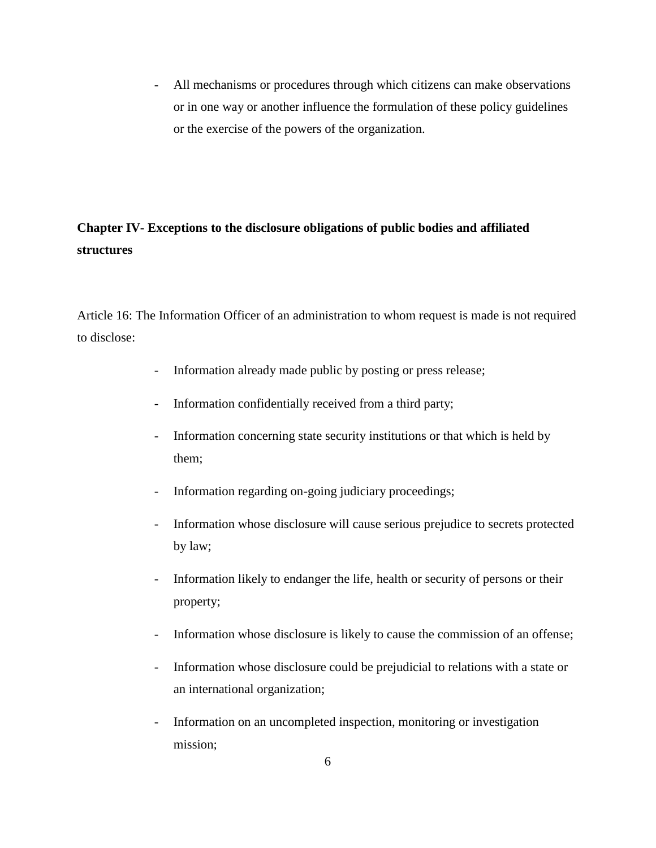- All mechanisms or procedures through which citizens can make observations or in one way or another influence the formulation of these policy guidelines or the exercise of the powers of the organization.

# **Chapter IV- Exceptions to the disclosure obligations of public bodies and affiliated structures**

Article 16: The Information Officer of an administration to whom request is made is not required to disclose:

- Information already made public by posting or press release;
- Information confidentially received from a third party;
- Information concerning state security institutions or that which is held by them;
- Information regarding on-going judiciary proceedings;
- Information whose disclosure will cause serious prejudice to secrets protected by law;
- Information likely to endanger the life, health or security of persons or their property;
- Information whose disclosure is likely to cause the commission of an offense;
- Information whose disclosure could be prejudicial to relations with a state or an international organization;
- Information on an uncompleted inspection, monitoring or investigation mission;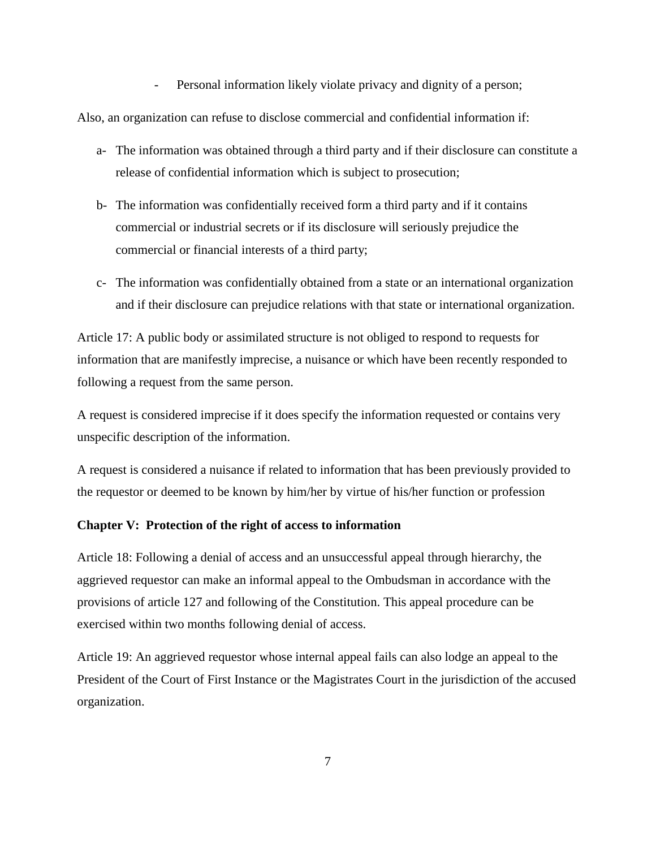- Personal information likely violate privacy and dignity of a person;

Also, an organization can refuse to disclose commercial and confidential information if:

- a- The information was obtained through a third party and if their disclosure can constitute a release of confidential information which is subject to prosecution;
- b- The information was confidentially received form a third party and if it contains commercial or industrial secrets or if its disclosure will seriously prejudice the commercial or financial interests of a third party;
- c- The information was confidentially obtained from a state or an international organization and if their disclosure can prejudice relations with that state or international organization.

Article 17: A public body or assimilated structure is not obliged to respond to requests for information that are manifestly imprecise, a nuisance or which have been recently responded to following a request from the same person.

A request is considered imprecise if it does specify the information requested or contains very unspecific description of the information.

A request is considered a nuisance if related to information that has been previously provided to the requestor or deemed to be known by him/her by virtue of his/her function or profession

### **Chapter V: Protection of the right of access to information**

Article 18: Following a denial of access and an unsuccessful appeal through hierarchy, the aggrieved requestor can make an informal appeal to the Ombudsman in accordance with the provisions of article 127 and following of the Constitution. This appeal procedure can be exercised within two months following denial of access.

Article 19: An aggrieved requestor whose internal appeal fails can also lodge an appeal to the President of the Court of First Instance or the Magistrates Court in the jurisdiction of the accused organization.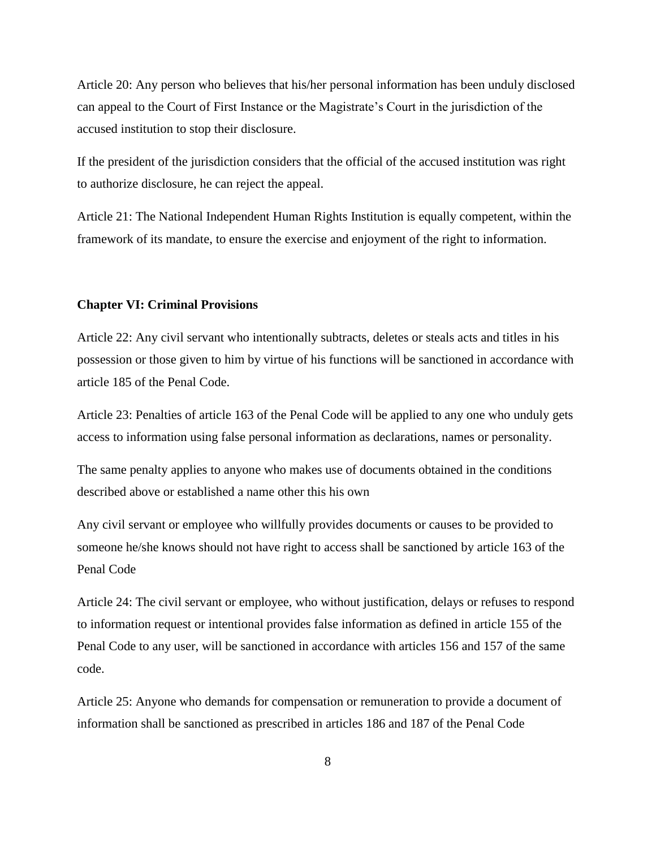Article 20: Any person who believes that his/her personal information has been unduly disclosed can appeal to the Court of First Instance or the Magistrate's Court in the jurisdiction of the accused institution to stop their disclosure.

If the president of the jurisdiction considers that the official of the accused institution was right to authorize disclosure, he can reject the appeal.

Article 21: The National Independent Human Rights Institution is equally competent, within the framework of its mandate, to ensure the exercise and enjoyment of the right to information.

#### **Chapter VI: Criminal Provisions**

Article 22: Any civil servant who intentionally subtracts, deletes or steals acts and titles in his possession or those given to him by virtue of his functions will be sanctioned in accordance with article 185 of the Penal Code.

Article 23: Penalties of article 163 of the Penal Code will be applied to any one who unduly gets access to information using false personal information as declarations, names or personality.

The same penalty applies to anyone who makes use of documents obtained in the conditions described above or established a name other this his own

Any civil servant or employee who willfully provides documents or causes to be provided to someone he/she knows should not have right to access shall be sanctioned by article 163 of the Penal Code

Article 24: The civil servant or employee, who without justification, delays or refuses to respond to information request or intentional provides false information as defined in article 155 of the Penal Code to any user, will be sanctioned in accordance with articles 156 and 157 of the same code.

Article 25: Anyone who demands for compensation or remuneration to provide a document of information shall be sanctioned as prescribed in articles 186 and 187 of the Penal Code